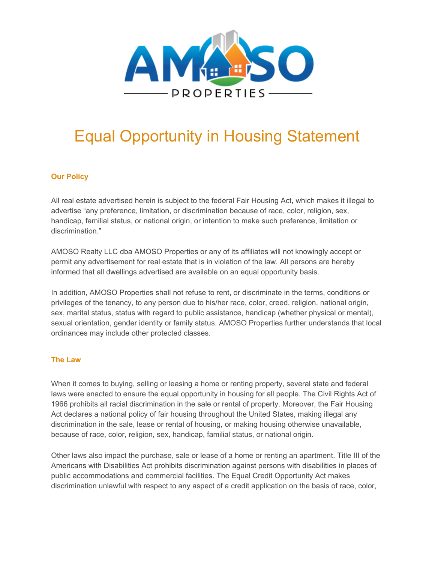

## Equal Opportunity in Housing Statement

## **Our Policy**

All real estate advertised herein is subject to the federal Fair Housing Act, which makes it illegal to advertise "any preference, limitation, or discrimination because of race, color, religion, sex, handicap, familial status, or national origin, or intention to make such preference, limitation or discrimination."

AMOSO Realty LLC dba AMOSO Properties or any of its affiliates will not knowingly accept or permit any advertisement for real estate that is in violation of the law. All persons are hereby informed that all dwellings advertised are available on an equal opportunity basis.

In addition, AMOSO Properties shall not refuse to rent, or discriminate in the terms, conditions or privileges of the tenancy, to any person due to his/her race, color, creed, religion, national origin, sex, marital status, status with regard to public assistance, handicap (whether physical or mental), sexual orientation, gender identity or family status. AMOSO Properties further understands that local ordinances may include other protected classes.

## **The Law**

When it comes to buying, selling or leasing a home or renting property, several state and federal laws were enacted to ensure the equal opportunity in housing for all people. The Civil Rights Act of 1966 prohibits all racial discrimination in the sale or rental of property. Moreover, the Fair Housing Act declares a national policy of fair housing throughout the United States, making illegal any discrimination in the sale, lease or rental of housing, or making housing otherwise unavailable, because of race, color, religion, sex, handicap, familial status, or national origin.

Other laws also impact the purchase, sale or lease of a home or renting an apartment. Title III of the Americans with Disabilities Act prohibits discrimination against persons with disabilities in places of public accommodations and commercial facilities. The Equal Credit Opportunity Act makes discrimination unlawful with respect to any aspect of a credit application on the basis of race, color,